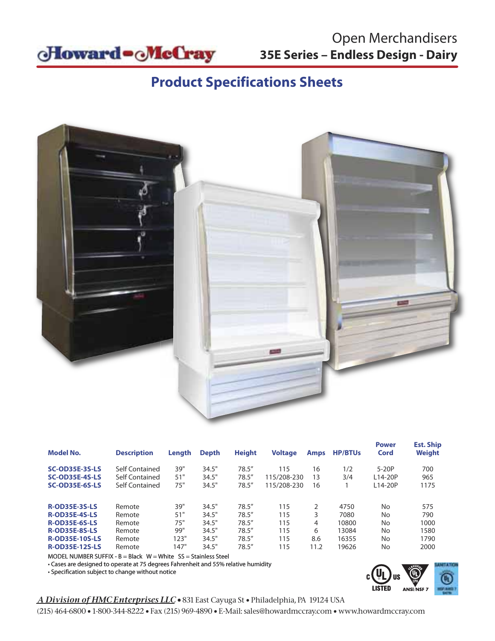

# **Product Specifications Sheets**



| <b>Model No.</b>                                                                                                                               | <b>Description</b>                                       | Length                                   | <b>Depth</b>                                       | <b>Height</b>                                            | <b>Voltage</b>                         | <b>Amps</b>                     | <b>HP/BTUs</b>                                   | <b>Power</b><br>Cord                                                     | <b>Est. Ship</b><br><b>Weight</b>          |
|------------------------------------------------------------------------------------------------------------------------------------------------|----------------------------------------------------------|------------------------------------------|----------------------------------------------------|----------------------------------------------------------|----------------------------------------|---------------------------------|--------------------------------------------------|--------------------------------------------------------------------------|--------------------------------------------|
| <b>SC-OD35E-3S-LS</b><br><b>SC-OD35E-4S-LS</b><br>SC-OD35E-6S-LS                                                                               | Self Contained<br>Self Contained<br>Self Contained       | 39"<br>51"<br>75"                        | 34.5"<br>34.5"<br>34.5"                            | 78.5''<br>78.5''<br>78.5''                               | 115<br>115/208-230<br>115/208-230      | 16<br>13<br>16                  | 1/2<br>3/4                                       | $5-20P$<br>$114-20P$<br>L14-20P                                          | 700<br>965<br>1175                         |
| <b>R-OD35E-3S-LS</b><br><b>R-OD35E-4S-LS</b><br><b>R-OD35E-6S-LS</b><br><b>R-OD35E-8S-LS</b><br><b>R-OD35E-10S-LS</b><br><b>R-OD35E-12S-LS</b> | Remote<br>Remote<br>Remote<br>Remote<br>Remote<br>Remote | 39"<br>51"<br>75"<br>99"<br>123"<br>147" | 34.5"<br>34.5"<br>34.5"<br>34.5"<br>34.5"<br>34.5" | 78.5''<br>78.5''<br>78.5''<br>78.5''<br>78.5''<br>78.5'' | 115<br>115<br>115<br>115<br>115<br>115 | 2<br>3<br>4<br>6<br>8.6<br>11.2 | 4750<br>7080<br>10800<br>13084<br>16355<br>19626 | <b>No</b><br><b>No</b><br>N <sub>o</sub><br><b>No</b><br><b>No</b><br>No | 575<br>790<br>1000<br>1580<br>1790<br>2000 |

MODEL NUMBER SUFFIX -  $B = Black$  W = White  $SS = Stainless$  Steel

• Cases are designed to operate at 75 degrees Fahrenheit and 55% relative humidity

• Specification subject to change without notice



### *A Division of HMC Enterprises LLC •* 831 East Cayuga St • Philadelphia, PA 19124 USA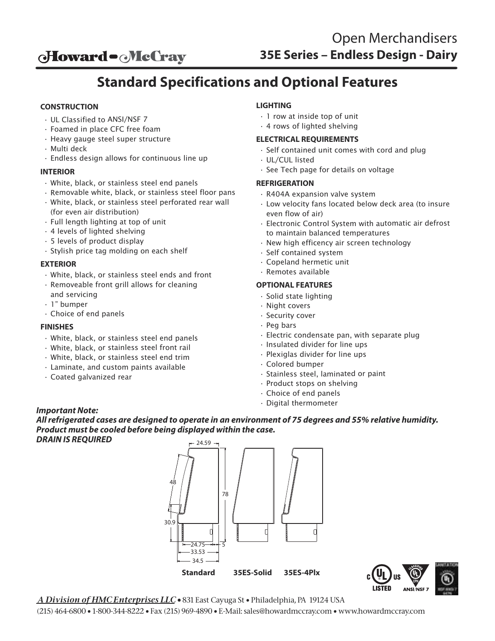**oHoward - McCray** 

# **Standard Specifications and Optional Features**

### **CONSTRUCTION**

- UL Classified to ANSI/NSF 7
- Foamed in place CFC free foam
- Heavy gauge steel super structure
- Multi deck
- Endless design allows for continuous line up

#### **INTERIOR**

- White, black, or stainless steel end panels
- Removable white, black, or stainless steel floor pans • White, black, or stainless steel perforated rear wall
- (for even air distribution)
- Full length lighting at top of unit
- 4 levels of lighted shelving
- 5 levels of product display
- Stylish price tag molding on each shelf

#### **EXTERIOR**

- White, black, or stainless steel ends and front
- Removeable front grill allows for cleaning and servicing
- 1" bumper
- Choice of end panels

#### **FINISHES**

- White, black, or stainless steel end panels
- White, black, or stainless steel front rail
- White, black, or stainless steel end trim
- Laminate, and custom paints available
- Coated galvanized rear

### **LIGHTING**

- 1 row at inside top of unit
- 4 rows of lighted shelving

#### **ELECTRICAL REQUIREMENTS**

- Self contained unit comes with cord and plug
- UL/CUL listed
- See Tech page for details on voltage

#### **REFRIGERATION**

- R404A expansion valve system
- Low velocity fans located below deck area (to insure even flow of air)
- Electronic Control System with automatic air defrost to maintain balanced temperatures
- New high efficency air screen technology
- Self contained system
- Copeland hermetic unit
- Remotes available

#### **OPTIONAL FEATURES**

- Solid state lighting
- Night covers
- Security cover
- Peg bars
- Electric condensate pan, with separate plug
- Insulated divider for line ups
- Plexiglas divider for line ups
- Colored bumper
- Stainless steel, laminated or paint
- Product stops on shelving
- Choice of end panels
- Digital thermometer

#### *Important Note:*

24.59 *All refrigerated cases are designed to operate in an environment of 75 degrees and 55% relative humidity. Product must be cooled before being displayed within the case. DRAIN IS REQUIRED*





*A Division of HMC Enterprises LLC •* 831 East Cayuga St • Philadelphia, PA 19124 USA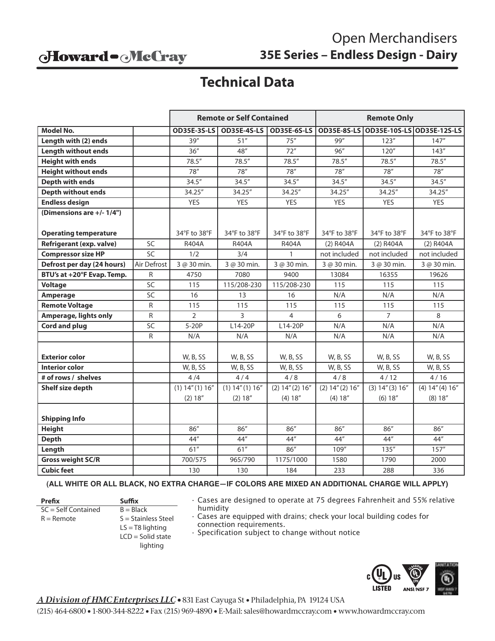## Howard - McCray

# Open Merchandisers **35E Series – Endless Design - Dairy**

# **Technical Data**

|                                 |                 | <b>Remote or Self Contained</b> |                                |                    | <b>Remote Only</b>  |                   |                           |  |
|---------------------------------|-----------------|---------------------------------|--------------------------------|--------------------|---------------------|-------------------|---------------------------|--|
| <b>Model No.</b>                |                 |                                 | <b>OD35E-3S-LS OD35E-4S-LS</b> | <b>OD35E-6S-LS</b> | <b>OD35E-8S-LS</b>  |                   | OD35E-10S-LS OD35E-12S-LS |  |
| Length with (2) ends            |                 | 39''                            | 51''                           | 75''               | 99"                 | 123''             | 147''                     |  |
| <b>Length without ends</b>      |                 | 36''                            | 48''                           | 72"                | 96''                | 120''             | 143''                     |  |
| <b>Height with ends</b>         |                 | 78.5''                          | 78.5''                         | 78.5"              | 78.5''              | 78.5''            | 78.5''                    |  |
| <b>Height without ends</b>      |                 | 78''                            | 78''                           | 78''               | 78''                | 78"               | 78''                      |  |
| <b>Depth with ends</b>          |                 | 34.5''                          | 34.5''                         | 34.5''             | 34.5''              | 34.5''            | 34.5''                    |  |
| <b>Depth without ends</b>       |                 | 34.25"                          | 34.25"                         | 34.25"             | 34.25"              | 34.25"            | 34.25"                    |  |
| <b>Endless design</b>           |                 | <b>YES</b>                      | <b>YES</b>                     | <b>YES</b>         | <b>YES</b>          | <b>YES</b>        | <b>YES</b>                |  |
| (Dimensions are +/- 1/4")       |                 |                                 |                                |                    |                     |                   |                           |  |
|                                 |                 |                                 |                                |                    |                     |                   |                           |  |
| <b>Operating temperature</b>    |                 | 34°F to 38°F                    | 34°F to 38°F                   | 34°F to 38°F       | 34°F to 38°F        | 34°F to 38°F      | 34°F to 38°F              |  |
| <b>Refrigerant (exp. valve)</b> | SC              | R404A                           | R404A                          | R404A              | (2) R404A           | (2) R404A         | $(2)$ R404A               |  |
| <b>Compressor size HP</b>       | $\overline{SC}$ | 1/2                             | 3/4                            | $\mathbf{1}$       | not included        | not included      | not included              |  |
| Defrost per day (24 hours)      | Air Defrost     | 3 @ 30 min.                     | 3 @ 30 min.                    | 3 @ 30 min.        | 3 @ 30 min.         | 3 @ 30 min.       | 3 @ 30 min.               |  |
| BTU's at +20°F Evap. Temp.      | R               | 4750                            | 7080                           | 9400               | 13084               | 16355             | 19626                     |  |
| <b>Voltage</b>                  | SC              | 115                             | 115/208-230                    | 115/208-230        | 115                 | 115               | 115                       |  |
| Amperage                        | SC              | 16                              | 13                             | 16                 | N/A                 | N/A               | N/A                       |  |
| <b>Remote Voltage</b>           | R               | 115                             | 115                            | 115                | 115                 | 115               | 115                       |  |
| <b>Amperage, lights only</b>    | R               | $\overline{2}$                  | 3                              | 4                  | 6                   | $\overline{7}$    | 8                         |  |
| Cord and plug                   | SC              | $5-20P$                         | L14-20P                        | L14-20P            | N/A                 | N/A               | N/A                       |  |
|                                 | R               | N/A                             | N/A                            | N/A                | N/A                 | N/A               | N/A                       |  |
|                                 |                 |                                 |                                |                    |                     |                   |                           |  |
| <b>Exterior color</b>           |                 | W, B, SS                        | W, B, SS                       | W, B, SS           | W, B, SS            | W, B, SS          | W, B, SS                  |  |
| <b>Interior color</b>           |                 | W, B, SS                        | W, B, SS                       | W, B, SS           | W, B, SS            | W, B, SS          | W, B, SS                  |  |
| # of rows / shelves             |                 | 4/4                             | 4/4                            | 4/8                | 4/8                 | 4/12              | 4/16                      |  |
| Shelf size depth                |                 | $(1)$ 14" $(1)$ 16"             | $(1)$ 14" $(1)$ 16"            | (2) 14'' (2) 16''  | $(2)$ 14" $(2)$ 16" | (3) 14'' (3) 16'' | (4) 14'' (4) 16''         |  |
|                                 |                 | (2) 18''                        | (2) 18''                       | (4) 18''           | (4) 18''            | (6) 18''          | (8) 18''                  |  |
|                                 |                 |                                 |                                |                    |                     |                   |                           |  |
| <b>Shipping Info</b>            |                 |                                 |                                |                    |                     |                   |                           |  |
| <b>Height</b>                   |                 | 86"                             | 86''                           | 86''               | 86"                 | 86''              | 86''                      |  |
| <b>Depth</b>                    |                 | 44"                             | 44"                            | 44"                | 44"                 | 44"               | 44"                       |  |
| Length                          |                 | 61"                             | 61"                            | 86"                | 109"                | 135''             | 157''                     |  |
| <b>Gross weight SC/R</b>        |                 | 700/575                         | 965/790                        | 1175/1000          | 1580                | 1790              | 2000                      |  |
| <b>Cubic feet</b>               |                 | 130                             | 130                            | 184                | 233                 | 288               | 336                       |  |

#### **(ALL WHITE OR ALL BLACK, NO EXTRA CHARGE—IF COLORS ARE MIXED AN ADDITIONAL CHARGE WILL APPLY)**

**Prefix Suffix**  $SC = Self$  Contained  $B = Black$ 

 $R =$  Remote  $S =$  Stainless Steel  $LS = T8$  lighting LCD = Solid state

lighting

• Cases are designed to operate at 75 degrees Fahrenheit and 55% relative humidity

- Cases are equipped with drains; check your local building codes for connection requirements.
- Specification subject to change without notice



*A Division of HMC Enterprises LLC •* 831 East Cayuga St • Philadelphia, PA 19124 USA